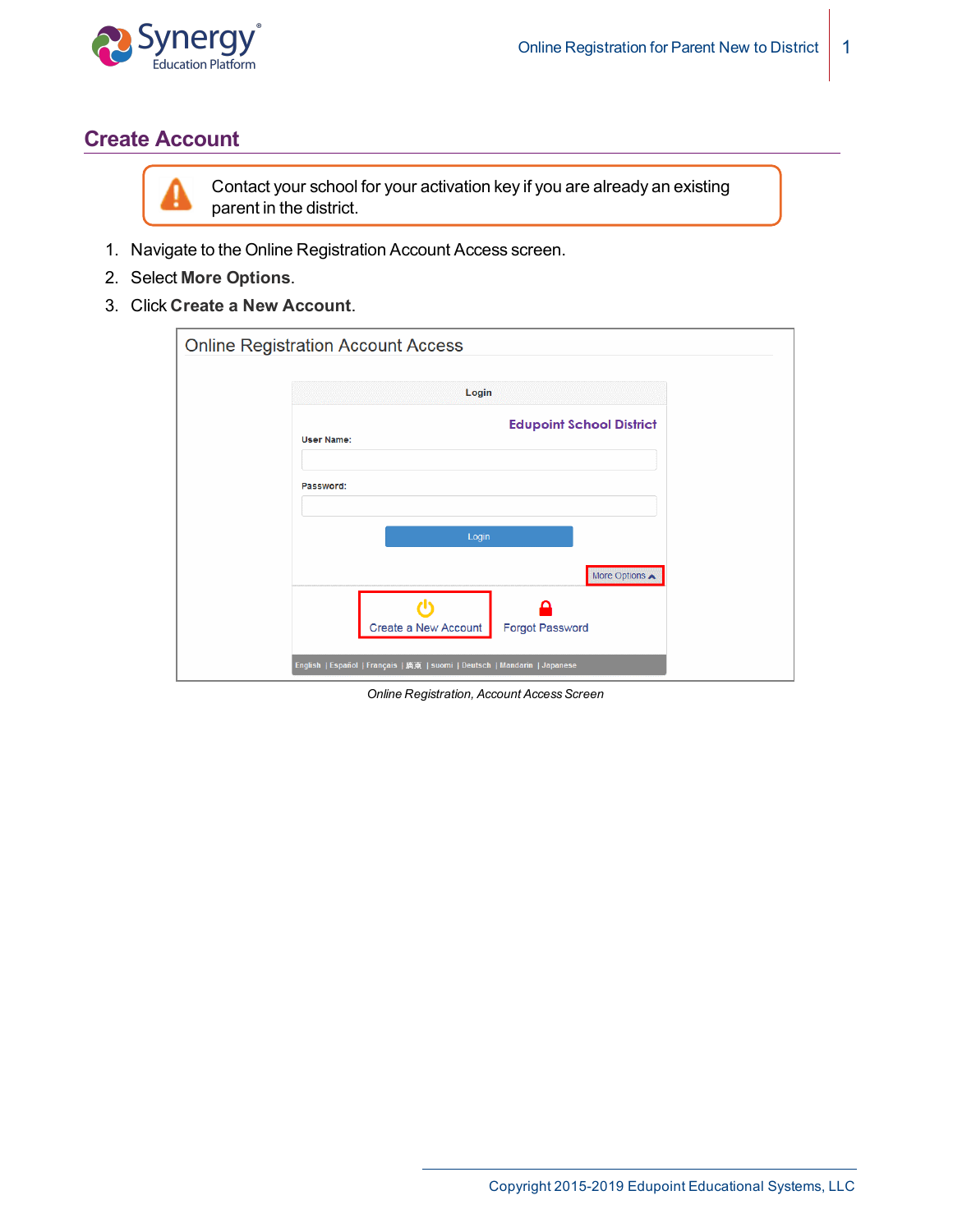

## **Create Account**



Contact your school for your activation key if you are already an existing parent in the district.

- 1. Navigate to the Online Registration Account Access screen.
- 2. Select **More Options**.
- 3. Click **Create a New Account**.

| <b>Online Registration Account Access</b>                                 |
|---------------------------------------------------------------------------|
| Login                                                                     |
| <b>Edupoint School District</b><br><b>User Name:</b>                      |
| Password:                                                                 |
| Login                                                                     |
| More Options A                                                            |
| Create a New Account<br><b>Forgot Password</b>                            |
| English   Español   Français   廣東   suomi   Deutsch   Mandarin   Japanese |

**Online Registration, Account Access Screen**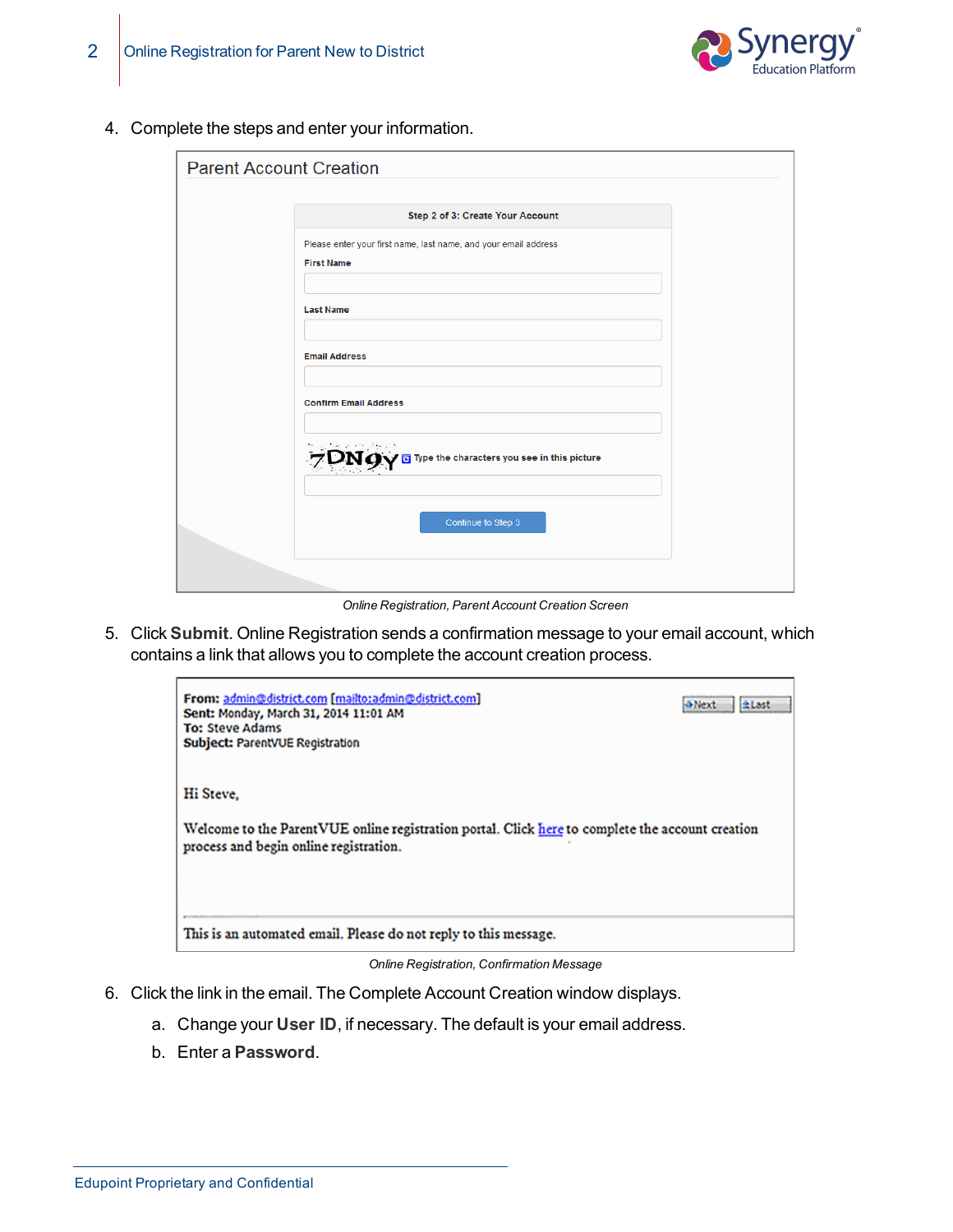



4. Complete the steps and enter your information.

| <b>Parent Account Creation</b> |                                                                                      |
|--------------------------------|--------------------------------------------------------------------------------------|
|                                |                                                                                      |
|                                | Step 2 of 3: Create Your Account                                                     |
|                                | Please enter your first name, last name, and your email address<br><b>First Name</b> |
|                                | <b>Last Name</b>                                                                     |
|                                | <b>Email Address</b>                                                                 |
|                                | <b>Confirm Email Address</b>                                                         |
|                                | $7\mathrm{DN}$ g Type the characters you see in this picture                         |
|                                | Continue to Step 3                                                                   |
|                                |                                                                                      |

*Online Registration, Parent Account Creation Screen*

5. Click **Submit**. Online Registration sends a confirmation message to your email account, which contains a link that allows you to complete the account creation process.

| From: admin@district.com [mailto:admin@district.com]<br>Sent: Monday, March 31, 2014 11:01 AM<br><b>To: Steve Adams</b><br>Subject: ParentVUE Registration | <b>A Next</b><br><b>diast</b> |
|------------------------------------------------------------------------------------------------------------------------------------------------------------|-------------------------------|
| Hi Steve.<br>Welcome to the ParentVUE online registration portal. Click here to complete the account creation<br>process and begin online registration.    |                               |
| This is an automated email. Please do not reply to this message.                                                                                           |                               |

*Online Registration, Confirmation Message*

- 6. Click the link in the email. The Complete Account Creation window displays.
	- a. Change your **User ID**, if necessary. The default is your email address.
	- b. Enter a **Password**.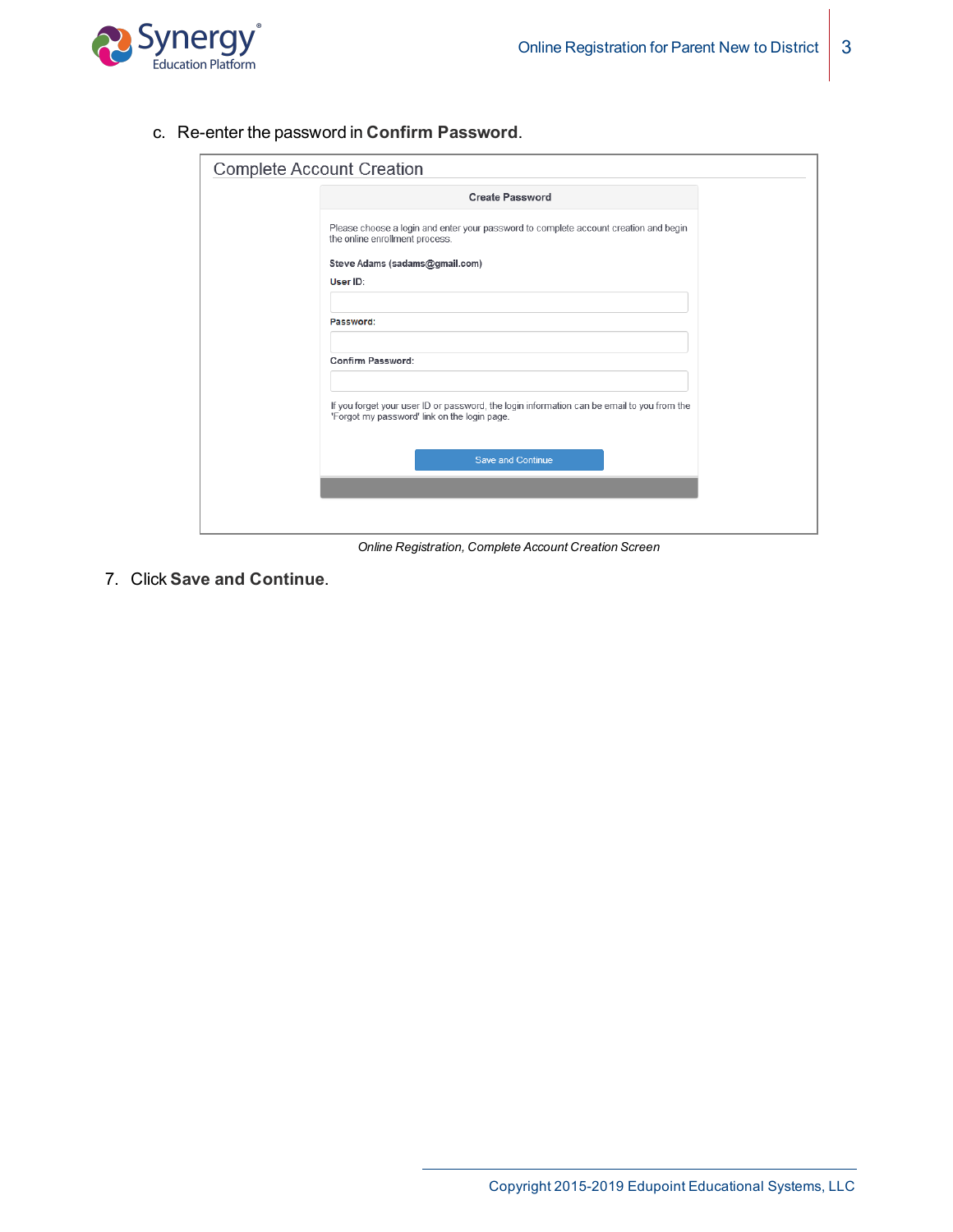

c. Re-enter the password in **Confirm Password**.

| <b>Complete Account Creation</b> |                                                                                                                                            |  |
|----------------------------------|--------------------------------------------------------------------------------------------------------------------------------------------|--|
|                                  | <b>Create Password</b>                                                                                                                     |  |
|                                  | Please choose a login and enter your password to complete account creation and begin<br>the online enrollment process.                     |  |
|                                  | Steve Adams (sadams@gmail.com)                                                                                                             |  |
|                                  | User ID:                                                                                                                                   |  |
|                                  | Password:                                                                                                                                  |  |
|                                  | <b>Confirm Password:</b>                                                                                                                   |  |
|                                  | If you forget your user ID or password, the login information can be email to you from the<br>'Forgot my password' link on the login page. |  |
|                                  | <b>Save and Continue</b>                                                                                                                   |  |
|                                  |                                                                                                                                            |  |

*Online Registration, Complete Account Creation Screen*

7. Click **Save and Continue**.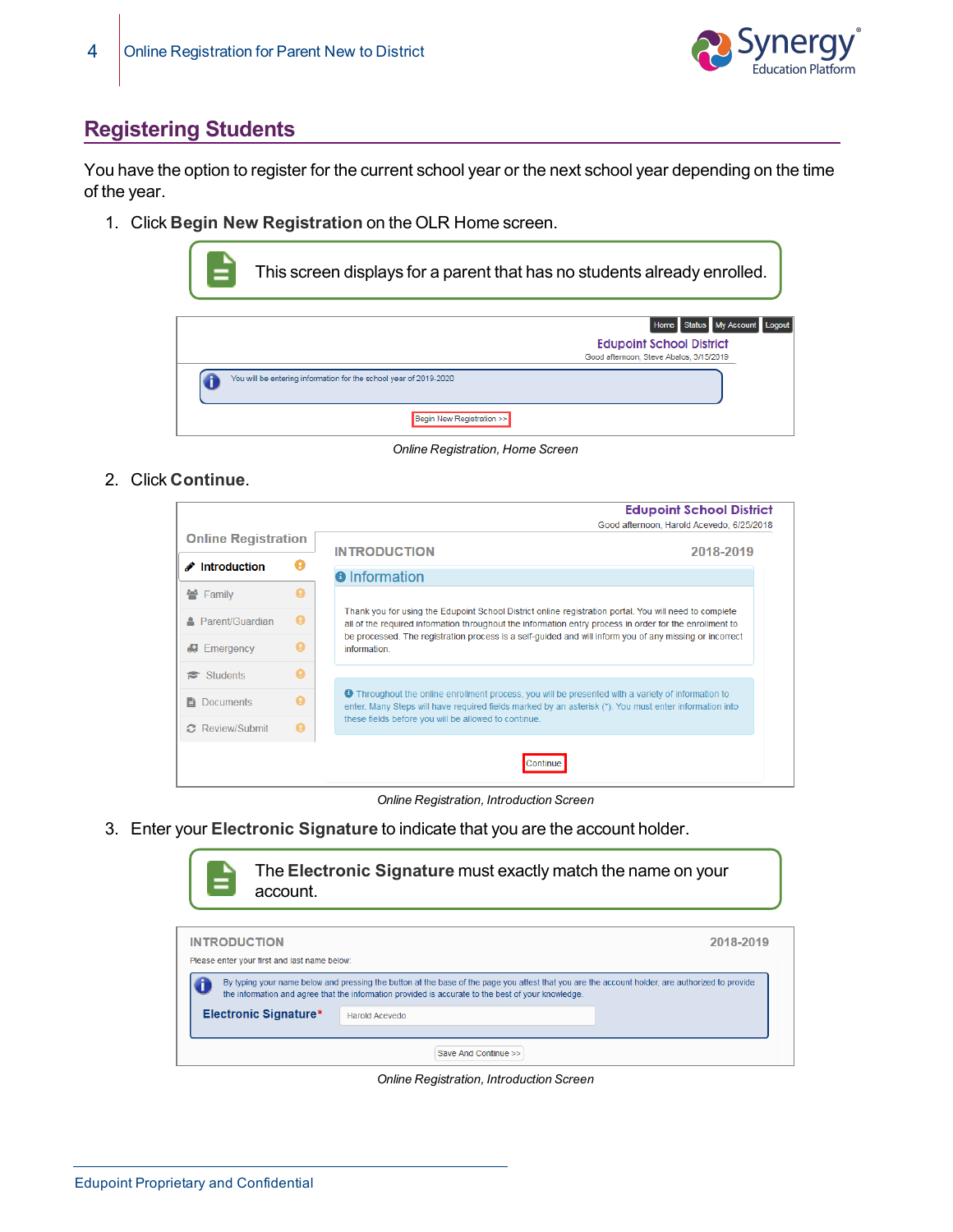

# **Registering Students**

You have the option to register for the current school year or the next school year depending on the time of the year.

1. Click **Begin New Registration** on the OLR Home screen.

| This screen displays for a parent that has no students already enrolled.                                    |
|-------------------------------------------------------------------------------------------------------------|
| Home Status My Account Logout<br><b>Edupoint School District</b><br>Good afternoon, Steve Abalos, 3/15/2019 |
| You will be entering information for the school year of 2019-2020                                           |
| Begin New Registration >>                                                                                   |

*Online Registration, Home Screen*

2. Click **Continue**.

|                            |   |                                                                                                                                                                                                                     | <b>Edupoint School District</b>           |
|----------------------------|---|---------------------------------------------------------------------------------------------------------------------------------------------------------------------------------------------------------------------|-------------------------------------------|
|                            |   |                                                                                                                                                                                                                     | Good afternoon. Harold Acevedo, 6/25/2018 |
| <b>Online Registration</b> |   | <b>INTRODUCTION</b>                                                                                                                                                                                                 | 2018-2019                                 |
| <b>∕</b> Introduction      |   |                                                                                                                                                                                                                     |                                           |
|                            |   | <b>a</b> Information                                                                                                                                                                                                |                                           |
| 월 Family                   |   |                                                                                                                                                                                                                     |                                           |
| <b>A</b> Parent/Guardian   | o | Thank you for using the Edupoint School District online registration portal. You will need to complete<br>all of the required information throughout the information entry process in order for the enrollment to   |                                           |
| Emergency                  |   | be processed. The registration process is a self-guided and will inform you of any missing or incorrect<br>information.                                                                                             |                                           |
| <b>Students</b>            |   |                                                                                                                                                                                                                     |                                           |
| <b>E</b> Documents         |   | <b>O</b> Throughout the online enrollment process, you will be presented with a variety of information to<br>enter. Many Steps will have required fields marked by an asterisk (*). You must enter information into |                                           |
| ○ Review/Submit            | o | these fields before you will be allowed to continue.                                                                                                                                                                |                                           |
|                            |   |                                                                                                                                                                                                                     |                                           |

*Online Registration, Introduction Screen*

3. Enter your **Electronic Signature** to indicate that you are the account holder.



*Online Registration, Introduction Screen*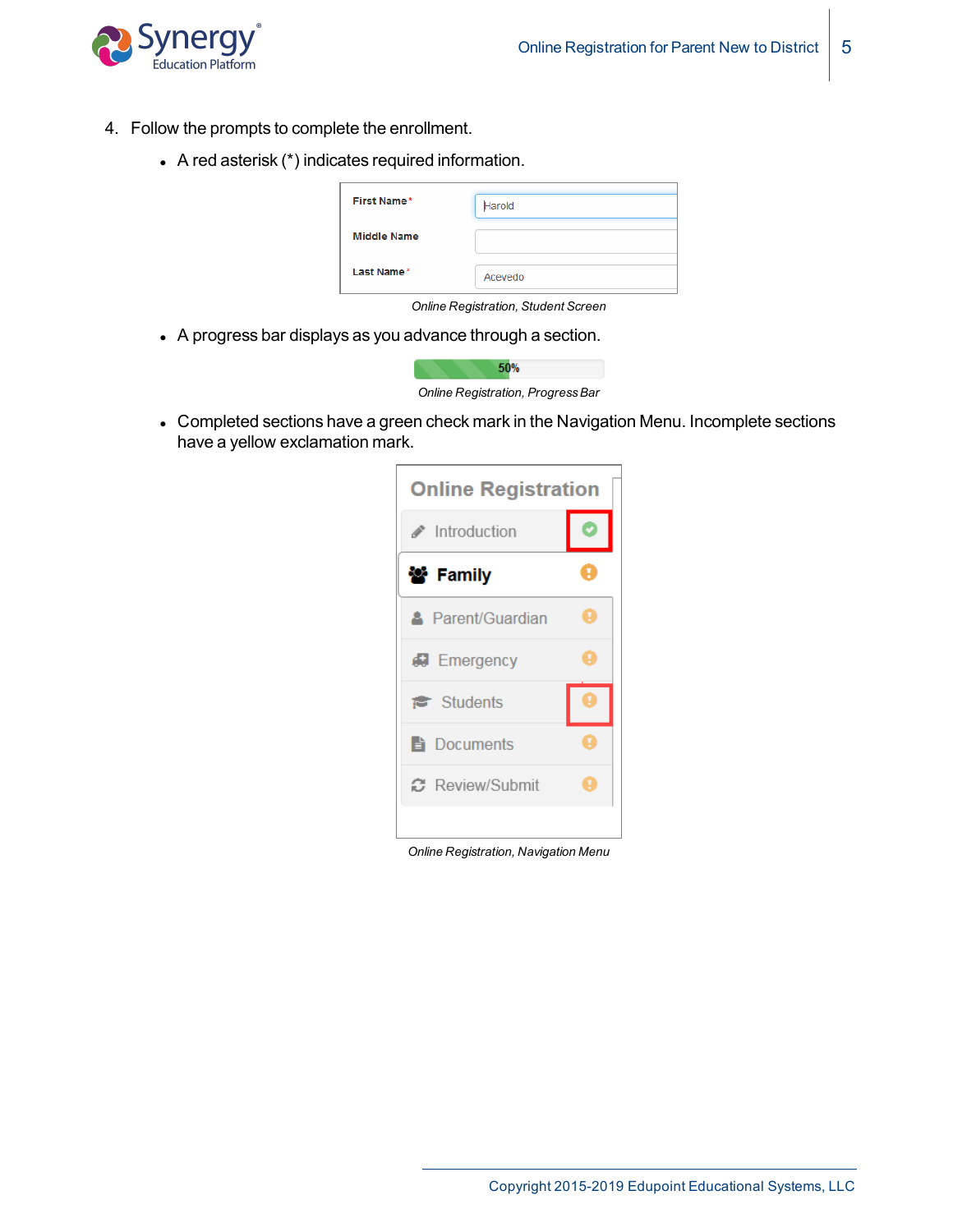

- 4. Follow the prompts to complete the enrollment.
	- A red asterisk  $(*)$  indicates required information.

| <b>First Name*</b> | Harold  |
|--------------------|---------|
| <b>Middle Name</b> |         |
| Last Name*         | Acevedo |

*Online Registration, Student Screen*

• A progress bar displays as you advance through a section.



• Completed sections have a green check mark in the Navigation Menu. Incomplete sections have a yellow exclamation mark.

| <b>Online Registration</b>         |   |
|------------------------------------|---|
| $\blacktriangleright$ Introduction |   |
| 警 Family                           |   |
| <b>A</b> Parent/Guardian           | ۷ |
| <b>B</b> Emergency                 |   |
| <b>意</b> Students                  |   |
| <b>E</b> Documents                 |   |
| ○ Review/Submit                    | Ţ |
|                                    |   |

*Online Registration, Navigation Menu*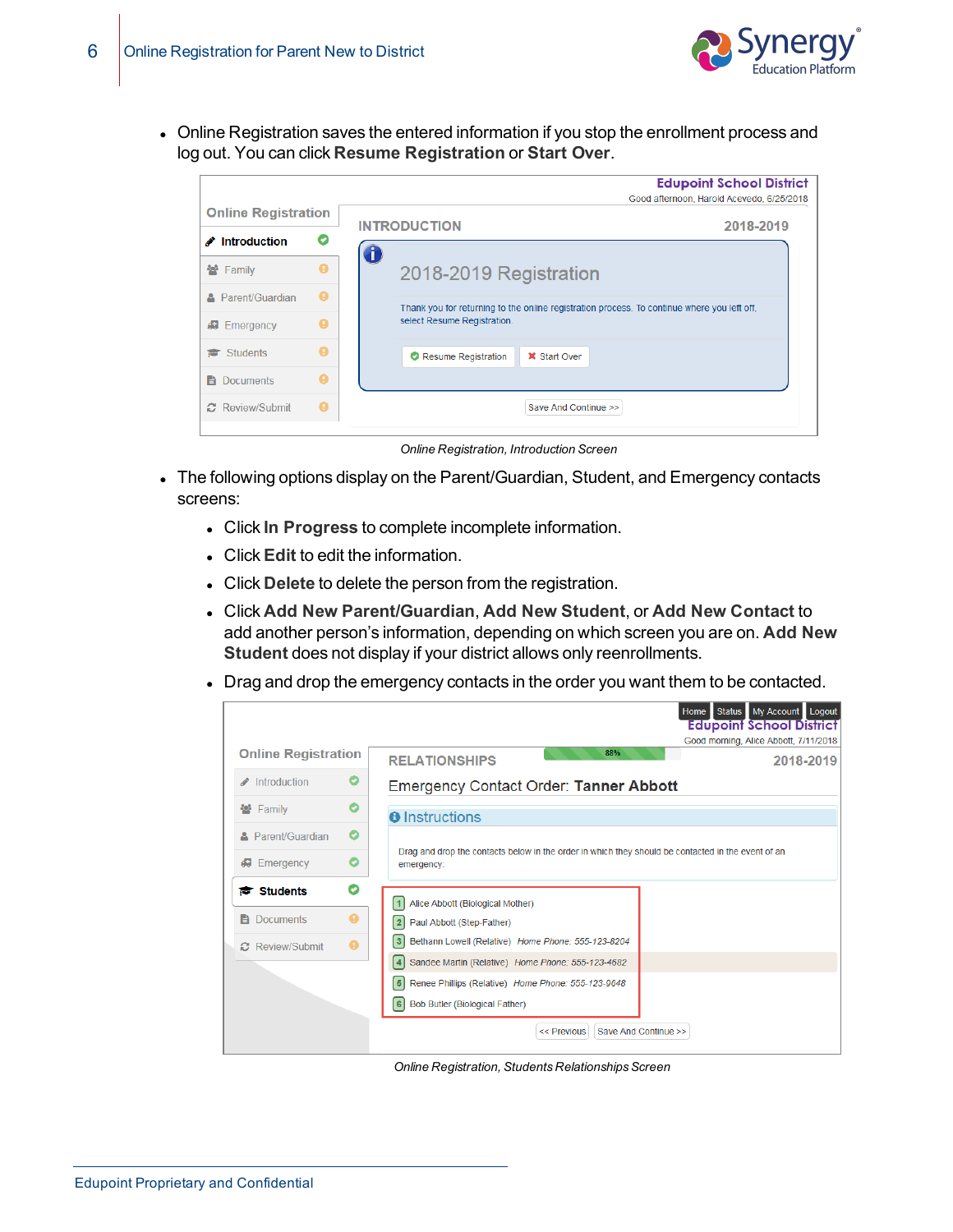

• Online Registration saves the entered information if you stop the enrollment process and log out. You can click **Resume Registration** or **Start Over**.

|                            |   | <b>Edupoint School District</b>                                                             |  |
|----------------------------|---|---------------------------------------------------------------------------------------------|--|
|                            |   | Good afternoon, Harold Acevedo, 6/25/2018                                                   |  |
| <b>Online Registration</b> |   |                                                                                             |  |
| $\triangle$ Introduction   |   | <b>INTRODUCTION</b><br>2018-2019                                                            |  |
| 警 Family                   | a | 2018-2019 Registration                                                                      |  |
| Parent/Guardian<br>a.      | ø | Thank you for returning to the online registration process. To continue where you left off. |  |
| <b>#</b> Emergency         |   | select Resume Registration.                                                                 |  |
| Students<br>r.             | A | <b>X</b> Start Over<br>Resume Registration                                                  |  |
| <b>Documents</b><br>Ħ      | A |                                                                                             |  |
| ○ Review/Submit            | ø | Save And Continue >>                                                                        |  |
|                            |   |                                                                                             |  |

*Online Registration, Introduction Screen*

- The following options display on the Parent/Guardian, Student, and Emergency contacts screens:
	- <sup>l</sup> Click **In Progress** to complete incomplete information.
	- **.** Click **Edit** to edit the information.
	- **.** Click Delete to delete the person from the registration.
	- <sup>l</sup> Click **Add New Parent/Guardian**, **Add New Student**, or **Add New Contact** to add another person's information, depending on which screen you are on. **Add New Student** does not display if your district allows only reenrollments.
	- Drag and drop the emergency contacts in the order you want them to be contacted.

|                             | My Account Logout<br>Home Status<br><b>Edupoint School District</b>                                              |
|-----------------------------|------------------------------------------------------------------------------------------------------------------|
| <b>Online Registration</b>  | Good morning, Alice Abbott, 7/11/2018<br>88%                                                                     |
|                             | <b>RELATIONSHIPS</b><br>2018-2019                                                                                |
| Introduction                | <b>Emergency Contact Order: Tanner Abbott</b>                                                                    |
| O<br>警 Family               | <b>O</b> Instructions                                                                                            |
| O<br>Parent/Guardian        |                                                                                                                  |
| O<br>Emergency<br>d.        | Drag and drop the contacts below in the order in which they should be contacted in the event of an<br>emergency: |
| O<br><b>n</b> Students      | Alice Abbott (Biological Mother)                                                                                 |
| Q<br><b>B</b> Documents     | Paul Abbott (Step-Father)<br>2 <sup>1</sup>                                                                      |
| a<br><b>B</b> Review/Submit | Bethann Lowell (Relative) Home Phone: 555-123-8204<br> 3                                                         |
|                             | Sandee Martin (Relative) Home Phone: 555-123-4682<br>4                                                           |
|                             | Renee Phillips (Relative) Home Phone: 555-123-9648<br>5 <sup>1</sup>                                             |
|                             | 6 <sup>1</sup><br><b>Bob Butler (Biological Father)</b>                                                          |
|                             | $<<$ Previous<br>Save And Continue >>                                                                            |

**Online Registration, Students Relationships Screen**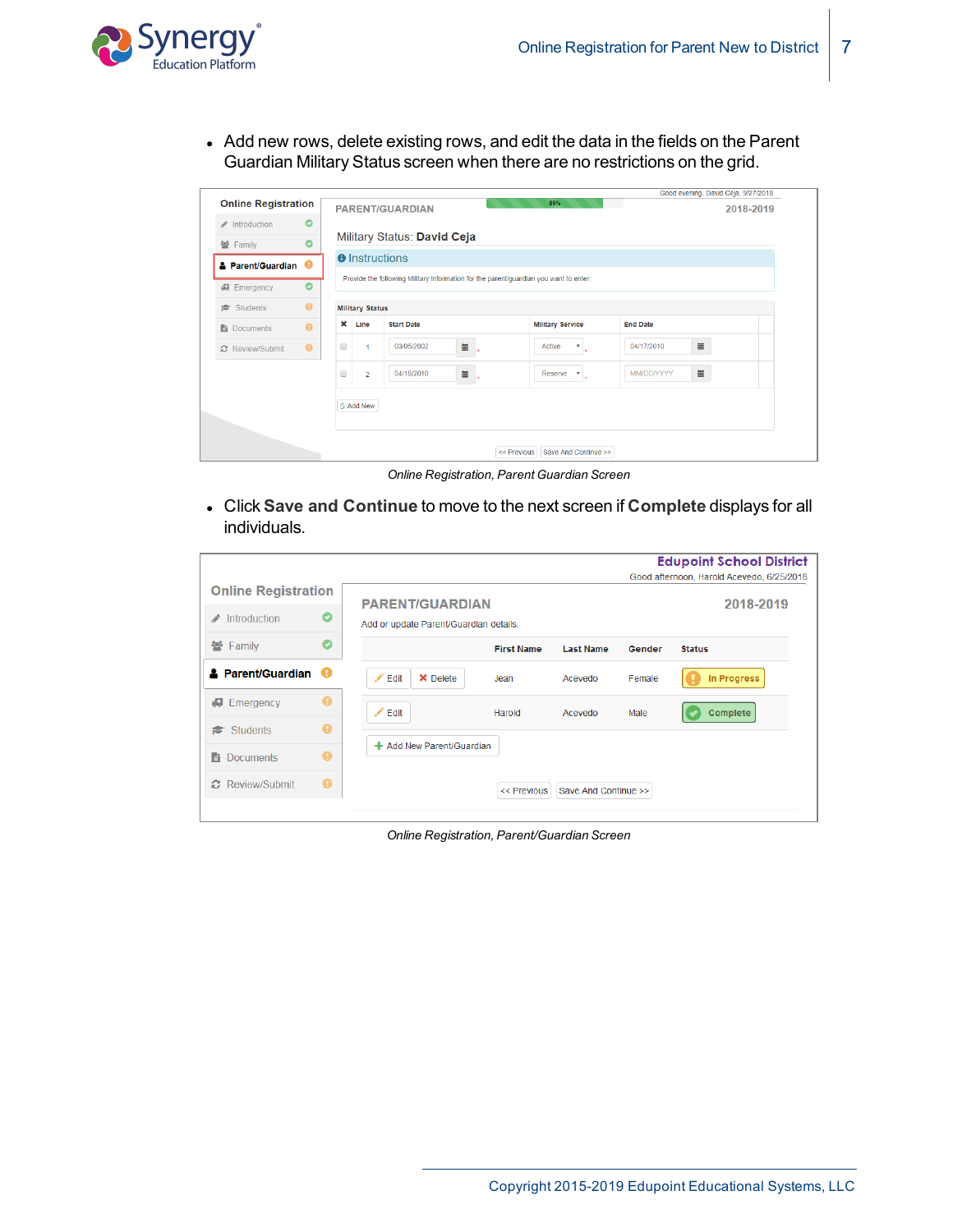

• Add new rows, delete existing rows, and edit the data in the fields on the Parent Guardian Military Status screen when there are no restrictions on the grid.

| <b>Online Registration</b><br><b>PARENT/GUARDIAN</b><br>2018-2019<br>$\bullet$<br>/ Introduction<br>Military Status: David Ceja<br>$\bullet$<br>쌀 Family<br><b>O</b> Instructions<br><b>A</b> Parent/Guardian <sup>@</sup><br>Provide the following Military information for the parent/guardian you want to enter:<br>$\bullet$<br><b>#</b> Emergency<br>$\bullet$<br>Students<br><b>Military Status</b><br>$\mathbf x$<br><b>Military Service</b><br>Line<br><b>Start Date</b><br><b>End Date</b><br>$\bullet$<br>Documents<br>$\blacksquare$<br>iii<br>$\qquad \qquad \Box$<br>03/05/2002<br>Active<br>04/17/2010<br>$\bullet$<br>$\overline{\mathbf{v}}$<br>1<br>C Review/Submit<br>篇<br>$\qquad \qquad \blacksquare$<br>04/18/2010<br>MM/DD/YYYY<br>$\Box$<br>$\overline{2}$<br>Reserve<br>$\boldsymbol{\mathrm{v}}$ |  |  | 85% | Good evening, David Ceja, 9/27/2018 |  |
|---------------------------------------------------------------------------------------------------------------------------------------------------------------------------------------------------------------------------------------------------------------------------------------------------------------------------------------------------------------------------------------------------------------------------------------------------------------------------------------------------------------------------------------------------------------------------------------------------------------------------------------------------------------------------------------------------------------------------------------------------------------------------------------------------------------------------|--|--|-----|-------------------------------------|--|
|                                                                                                                                                                                                                                                                                                                                                                                                                                                                                                                                                                                                                                                                                                                                                                                                                           |  |  |     |                                     |  |
|                                                                                                                                                                                                                                                                                                                                                                                                                                                                                                                                                                                                                                                                                                                                                                                                                           |  |  |     |                                     |  |
|                                                                                                                                                                                                                                                                                                                                                                                                                                                                                                                                                                                                                                                                                                                                                                                                                           |  |  |     |                                     |  |
|                                                                                                                                                                                                                                                                                                                                                                                                                                                                                                                                                                                                                                                                                                                                                                                                                           |  |  |     |                                     |  |
|                                                                                                                                                                                                                                                                                                                                                                                                                                                                                                                                                                                                                                                                                                                                                                                                                           |  |  |     |                                     |  |
|                                                                                                                                                                                                                                                                                                                                                                                                                                                                                                                                                                                                                                                                                                                                                                                                                           |  |  |     |                                     |  |
|                                                                                                                                                                                                                                                                                                                                                                                                                                                                                                                                                                                                                                                                                                                                                                                                                           |  |  |     |                                     |  |
|                                                                                                                                                                                                                                                                                                                                                                                                                                                                                                                                                                                                                                                                                                                                                                                                                           |  |  |     |                                     |  |
|                                                                                                                                                                                                                                                                                                                                                                                                                                                                                                                                                                                                                                                                                                                                                                                                                           |  |  |     |                                     |  |
|                                                                                                                                                                                                                                                                                                                                                                                                                                                                                                                                                                                                                                                                                                                                                                                                                           |  |  |     |                                     |  |

*Online Registration, Parent Guardian Screen*

<sup>l</sup> Click **Save and Continue** to move to the next screen if **Complete** displays for all individuals.

|                                   |                              |                   |                                                                                               |        | <b>Edupoint School District</b>           |
|-----------------------------------|------------------------------|-------------------|-----------------------------------------------------------------------------------------------|--------|-------------------------------------------|
|                                   |                              |                   |                                                                                               |        | Good afternoon, Harold Acevedo, 6/25/2018 |
| O                                 |                              |                   |                                                                                               |        | 2018-2019                                 |
| O                                 |                              | <b>First Name</b> | <b>Last Name</b>                                                                              | Gender | <b>Status</b>                             |
| <b>A</b> Parent/Guardian <b>+</b> | ◢<br><b>X</b> Delete<br>Edit | Jean              | Acevedo                                                                                       | Female | In Progress                               |
| ø                                 | ◢<br>Edit                    | Harold            | Acevedo                                                                                       | Male   | Complete                                  |
| ◕                                 |                              |                   |                                                                                               |        |                                           |
| ◕                                 |                              |                   |                                                                                               |        |                                           |
| $\bullet$                         |                              | << Previous       |                                                                                               |        |                                           |
|                                   | <b>Online Registration</b>   |                   | <b>PARENT/GUARDIAN</b><br>Add or update Parent/Guardian details.<br>+ Add New Parent/Guardian |        | Save And Continue >>                      |

*Online Registration, Parent/Guardian Screen*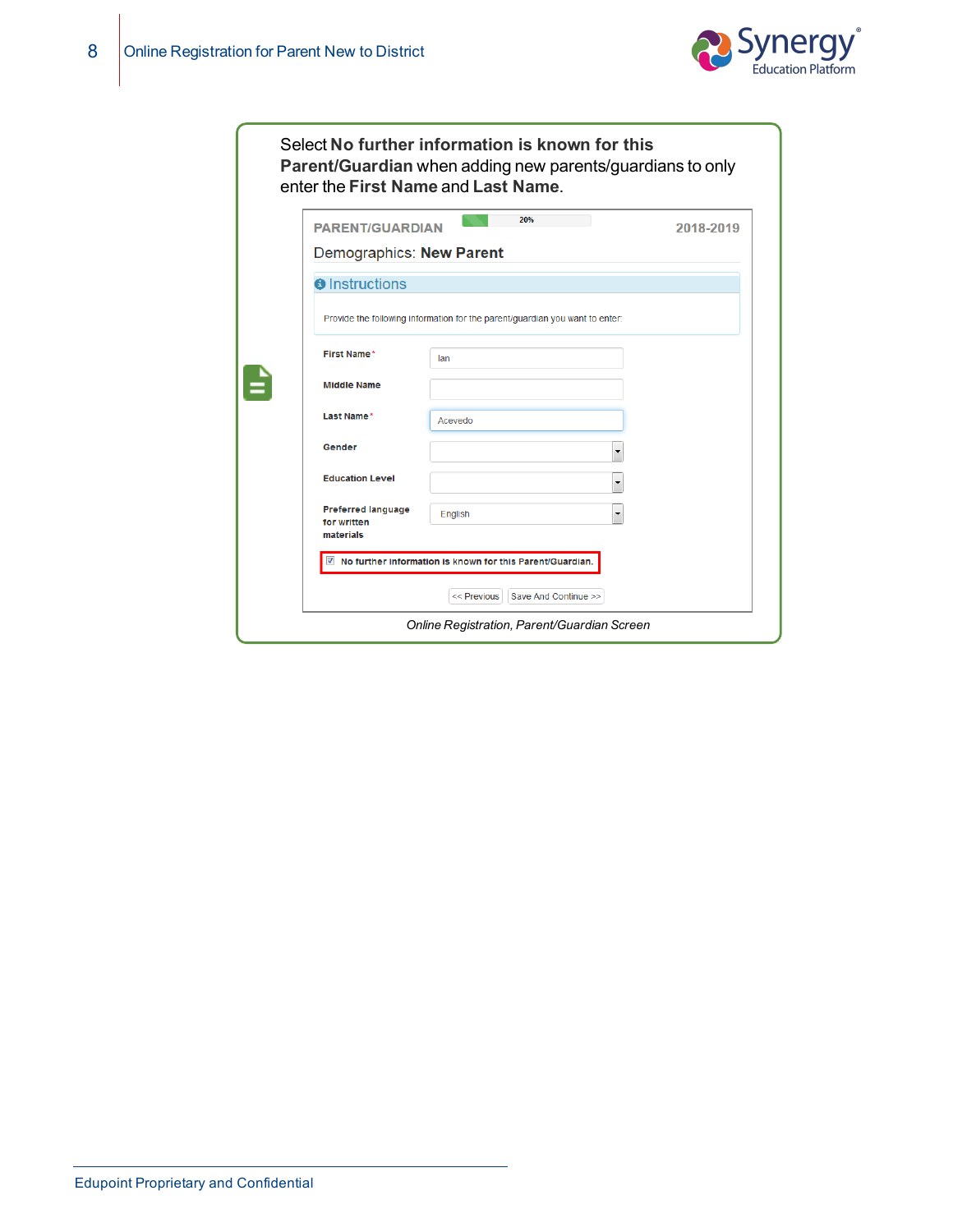

| <b>PARENT/GUARDIAN</b><br>Demographics: New Parent    | 20%                                                                          | 2018-2019 |
|-------------------------------------------------------|------------------------------------------------------------------------------|-----------|
| <b>O</b> Instructions                                 |                                                                              |           |
|                                                       | Provide the following information for the parent/guardian you want to enter: |           |
| First Name*                                           | lan                                                                          |           |
| <b>Middle Name</b>                                    |                                                                              |           |
| Last Name*                                            | Acevedo                                                                      |           |
| Gender                                                | ۰                                                                            |           |
| <b>Education Level</b>                                |                                                                              |           |
| <b>Preferred language</b><br>for written<br>materials | English<br>۰                                                                 |           |
|                                                       | $\blacksquare$ No further information is known for this Parent/Guardian.     |           |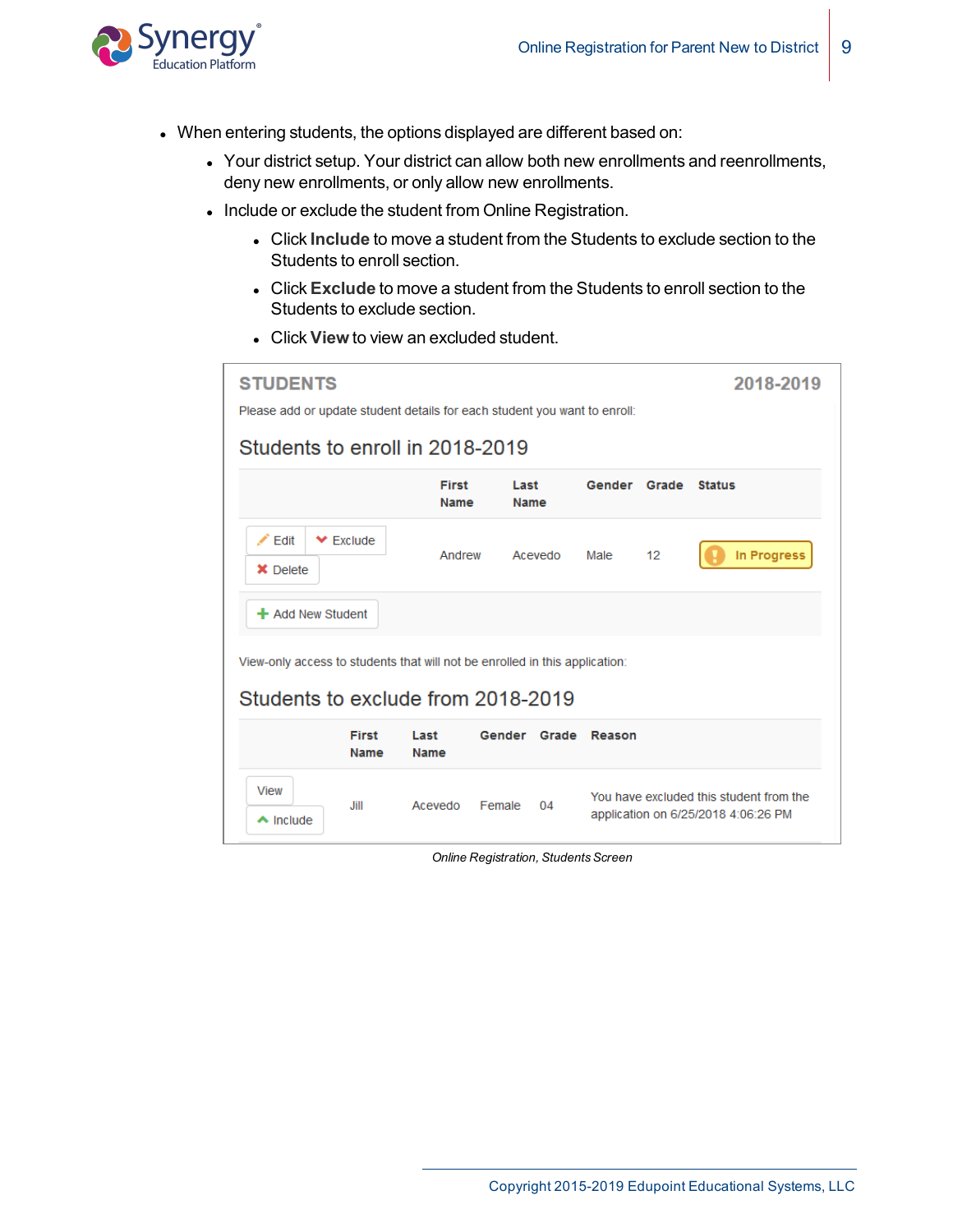

- When entering students, the options displayed are different based on:
	- Your district setup. Your district can allow both new enrollments and reenrollments, deny new enrollments, or only allow new enrollments.
	- Include or exclude the student from Online Registration.
		- **.** Click Include to move a student from the Students to exclude section to the Students to enroll section.
		- **.** Click **Exclude** to move a student from the Students to enroll section to the Students to exclude section.
		- **.** Click **View** to view an excluded student.

| <b>STUDENTS</b><br>2018-2019<br>Please add or update student details for each student you want to enroll: |                      |                     |               |       |                                                                                |  |  |  |  |  |
|-----------------------------------------------------------------------------------------------------------|----------------------|---------------------|---------------|-------|--------------------------------------------------------------------------------|--|--|--|--|--|
| Students to enroll in 2018-2019                                                                           |                      |                     |               |       |                                                                                |  |  |  |  |  |
|                                                                                                           | <b>First</b><br>Name | Last<br><b>Name</b> | <b>Gender</b> | Grade | <b>Status</b>                                                                  |  |  |  |  |  |
| $\angle$ Edit<br>$\blacktriangleright$ Exclude<br><b>X</b> Delete                                         | Andrew               | Acevedo             | Male          | 12    | <b>In Progress</b>                                                             |  |  |  |  |  |
| + Add New Student                                                                                         |                      |                     |               |       |                                                                                |  |  |  |  |  |
| View-only access to students that will not be enrolled in this application:                               |                      |                     |               |       |                                                                                |  |  |  |  |  |
| Students to exclude from 2018-2019                                                                        |                      |                     |               |       |                                                                                |  |  |  |  |  |
| <b>First</b><br>Last<br>Name                                                                              | <b>Name</b>          | Gender Grade Reason |               |       |                                                                                |  |  |  |  |  |
| <b>View</b><br><b>Jill</b><br>$\triangle$ Include                                                         | Acevedo<br>Female    | 04                  |               |       | You have excluded this student from the<br>application on 6/25/2018 4:06:26 PM |  |  |  |  |  |

**Online Registration, Students Screen**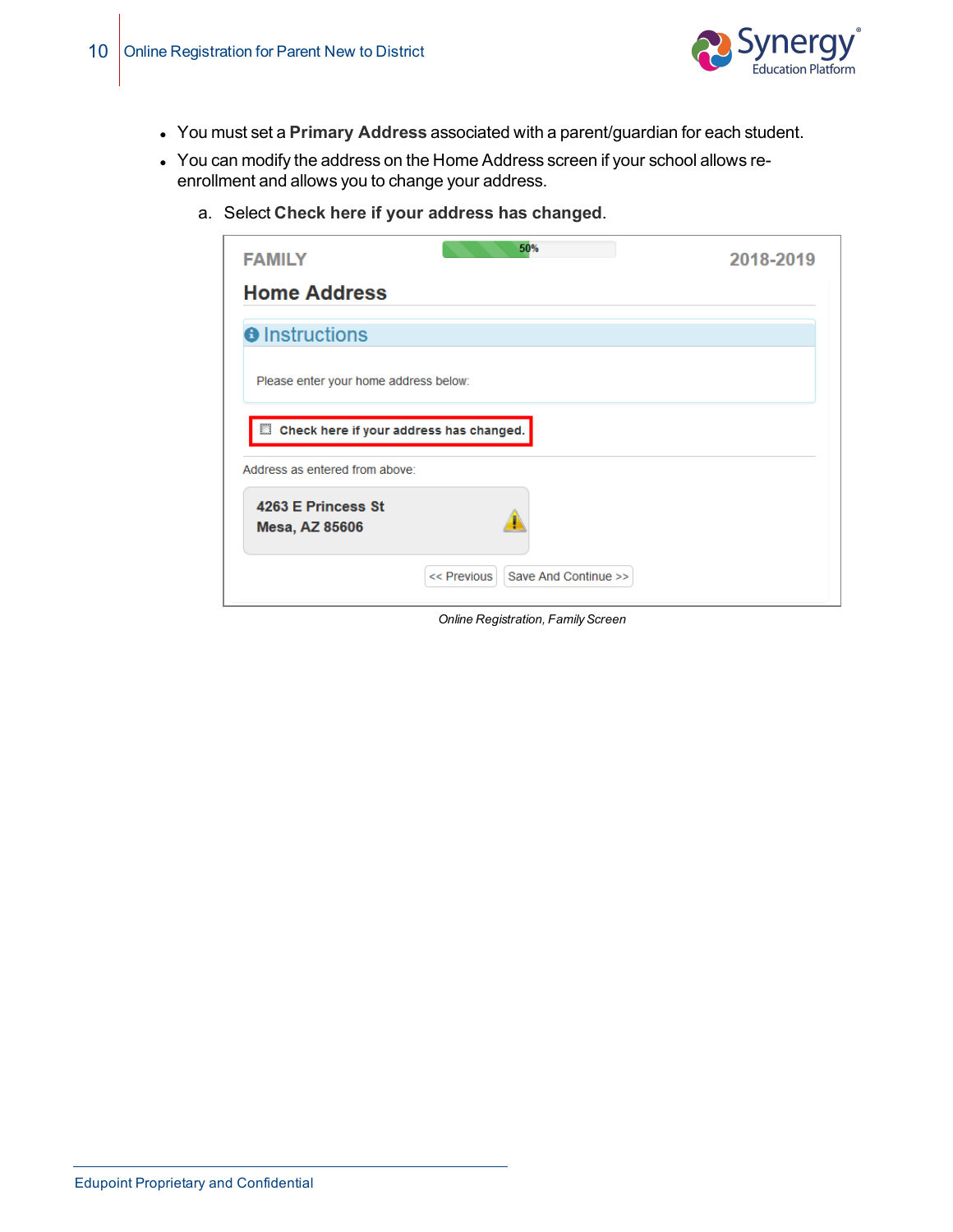

- <sup>l</sup> You must set a **Primary Address** associated with a parent/guardian for each student.
- You can modify the address on the Home Address screen if your school allows reenrollment and allows you to change your address.
	- 50% **FAMILY** 2018-2019 **Home Address O** Instructions Please enter your home address below: Check here if your address has changed. Address as entered from above: 4263 E Princess St **Mesa, AZ 85606** << Previous Save And Continue >>
	- a. Select **Check here if your address has changed**.

*Online Registration, FamilyScreen*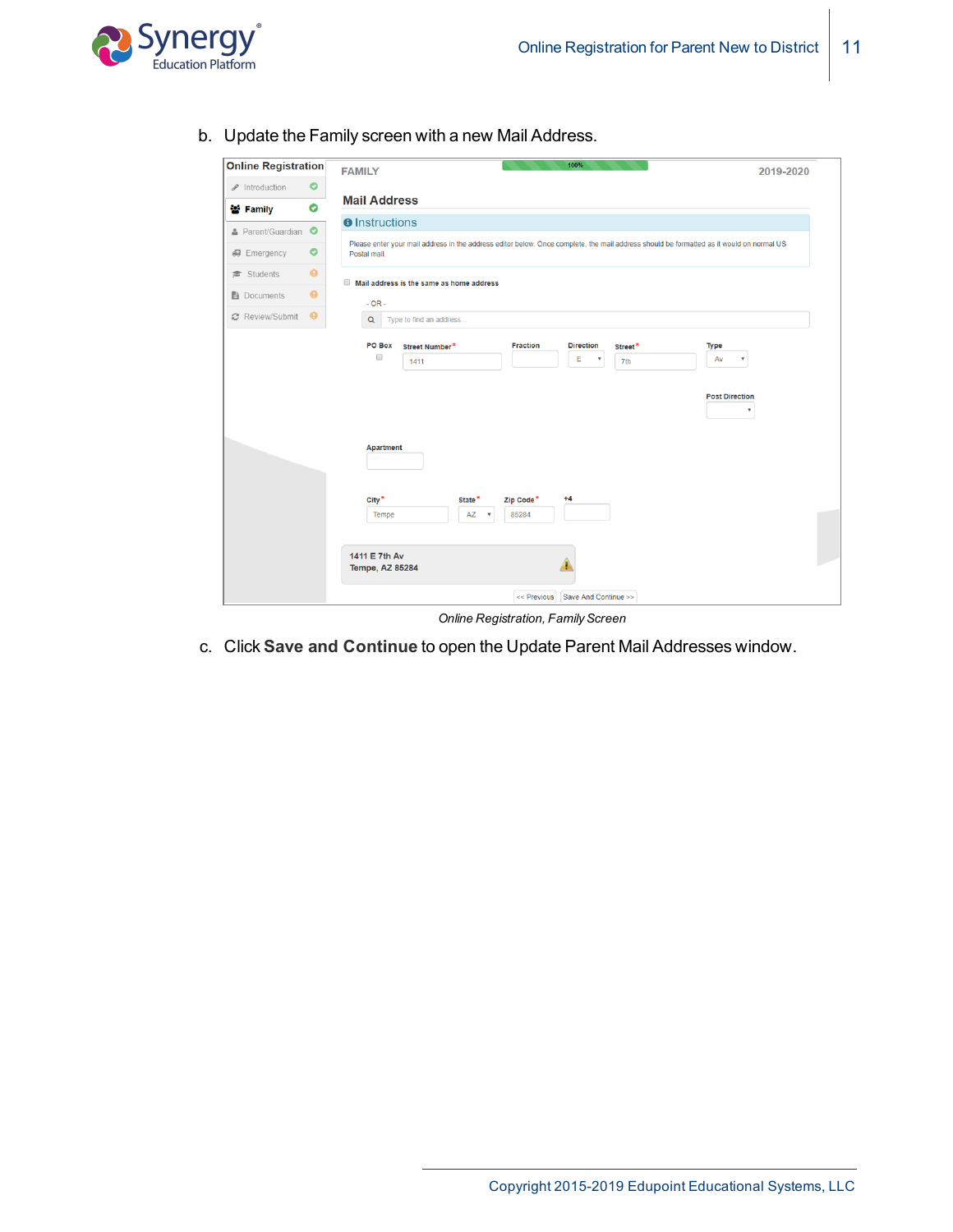

b. Update the Family screen with a new Mail Address.

| <b>Online Registration</b> |           | 100%<br><b>FAMILY</b>                                                                                                                                                                                                                                                                                                      | 2019-2020                                                           |
|----------------------------|-----------|----------------------------------------------------------------------------------------------------------------------------------------------------------------------------------------------------------------------------------------------------------------------------------------------------------------------------|---------------------------------------------------------------------|
| / Introduction             | $\bullet$ |                                                                                                                                                                                                                                                                                                                            |                                                                     |
| 참 Family                   | $\bullet$ | <b>Mail Address</b>                                                                                                                                                                                                                                                                                                        |                                                                     |
| & Parent/Guardian          | $\bullet$ | <b>O</b> Instructions                                                                                                                                                                                                                                                                                                      |                                                                     |
| 47 Emergency               | $\bullet$ | Please enter your mail address in the address editor below. Once complete, the mail address should be formatted as it would on normal US<br>Postal mail.                                                                                                                                                                   |                                                                     |
| Students                   | $\bullet$ | Mail address is the same as home address                                                                                                                                                                                                                                                                                   |                                                                     |
| ■ Documents                | $\bullet$ | $-OR -$                                                                                                                                                                                                                                                                                                                    |                                                                     |
| C Review/Submit            | $\bullet$ | $\alpha$<br>Type to find an address                                                                                                                                                                                                                                                                                        |                                                                     |
|                            |           | <b>PO Box</b><br><b>Direction</b><br>Street Number*<br><b>Fraction</b><br>Street*<br>$\Box$<br>E<br>v<br>7th<br>1411<br><b>Apartment</b><br>$City^*$<br>Zip Code*<br>$+4$<br>State*<br>AZ<br>85284<br>Tempe<br>$\boldsymbol{\mathrm{v}}$<br>1411 E 7th Av<br><b>Tempe, AZ 85284</b><br>Save And Continue >><br><< Previous | Type<br>Av<br>۷<br><b>Post Direction</b><br>$\overline{\mathbf{v}}$ |

*Online Registration, FamilyScreen*

c. Click **Save and Continue** to open the Update Parent Mail Addresses window.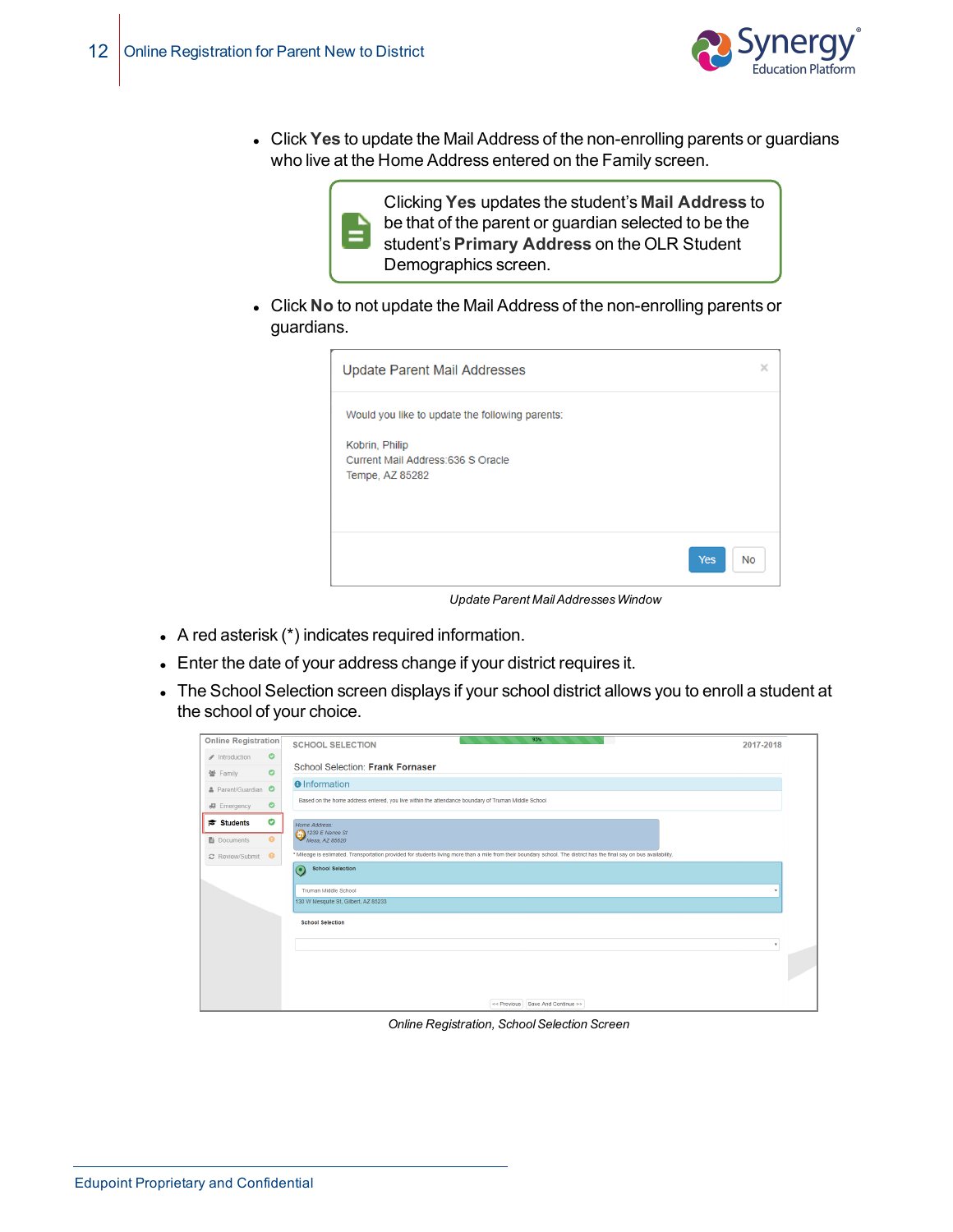

<sup>l</sup> Click **Yes** to update the Mail Address of the non-enrolling parents or guardians who live at the Home Address entered on the Family screen.



**Click No** to not update the Mail Address of the non-enrolling parents or guardians.

| Update Parent Mail Addresses                                            | ×                |
|-------------------------------------------------------------------------|------------------|
| Would you like to update the following parents:                         |                  |
| Kobrin, Philip<br>Current Mail Address: 636 S Oracle<br>Tempe, AZ 85282 |                  |
|                                                                         |                  |
|                                                                         | Yes<br><b>No</b> |
|                                                                         |                  |

*Update Parent MailAddressesWindow*

- $\bullet$  A red asterisk (\*) indicates required information.
- Enter the date of your address change if your district requires it.
- The School Selection screen displays if your school district allows you to enroll a student at the school of your choice.

| <b>Online Registration</b> |           | 93%<br><b>SCHOOL SELECTION</b>                                                                                                                                       | 2017-2018    |  |
|----------------------------|-----------|----------------------------------------------------------------------------------------------------------------------------------------------------------------------|--------------|--|
| ntroduction                | $\bullet$ |                                                                                                                                                                      |              |  |
| 營 Family                   | $\bullet$ | School Selection: Frank Fornaser                                                                                                                                     |              |  |
| & Parent/Guardian O        |           | <b>O</b> Information                                                                                                                                                 |              |  |
| 67 Emergency               | $\bullet$ | Based on the home address entered, you live within the attendance boundary of Truman Middle School                                                                   |              |  |
| <b>Students</b>            | $\bullet$ | Home Address:                                                                                                                                                        |              |  |
| <b>■</b> Documents         | $\bullet$ | 1239 E Nance St<br>Mesa, AZ 85620                                                                                                                                    |              |  |
| C Review/Submit            | $\bullet$ | * Mileage is estimated. Transportation provided for students living more than a mile from their boundary school. The district has the final say on bus availability. |              |  |
|                            |           | <b>School Selection</b><br>$\odot$                                                                                                                                   |              |  |
|                            |           | <b>Truman Middle School</b>                                                                                                                                          |              |  |
|                            |           | 130 W Mesquite St, Gilbert, AZ 85233                                                                                                                                 |              |  |
|                            |           | <b>School Selection</b>                                                                                                                                              |              |  |
|                            |           |                                                                                                                                                                      | $\mathbf{v}$ |  |
|                            |           |                                                                                                                                                                      |              |  |
|                            |           |                                                                                                                                                                      |              |  |
|                            |           | << Previous Save And Continue >>                                                                                                                                     |              |  |

*Online Registration, SchoolSelection Screen*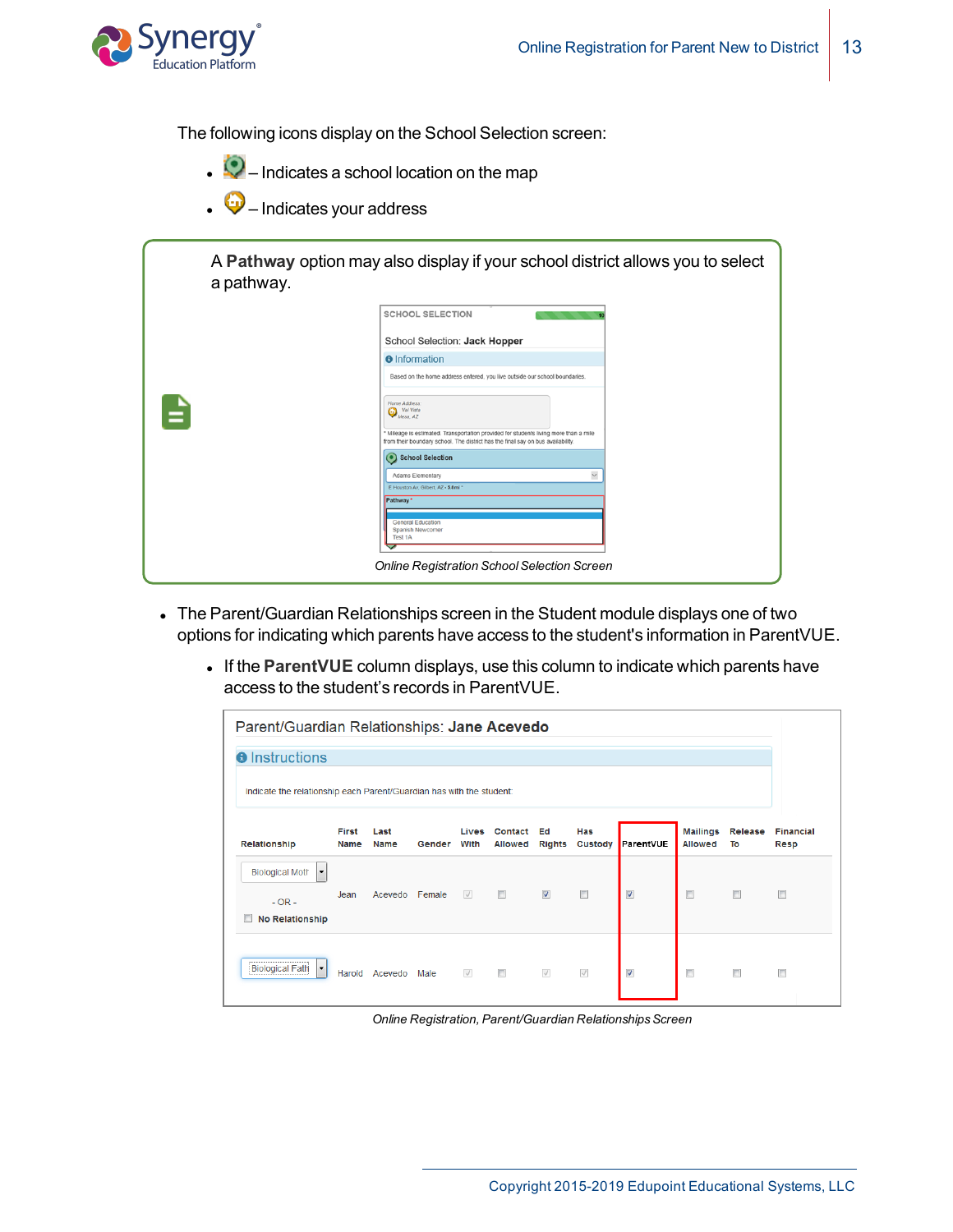

The following icons display on the School Selection screen:

- $\bullet$   $\bullet$  Indicates a school location on the map
- $\bullet$  Indicates your address

|   | <b>SCHOOL SELECTION</b>                                                                                                                                                                                           |
|---|-------------------------------------------------------------------------------------------------------------------------------------------------------------------------------------------------------------------|
|   | School Selection: Jack Hopper                                                                                                                                                                                     |
|   | <b>O</b> Information                                                                                                                                                                                              |
|   | Based on the home address entered, you live outside our school boundaries.                                                                                                                                        |
| ≘ | Home Address:<br>Val Vista<br>Mesa, AZ<br>* Mileage is estimated. Transportation provided for students living more than a mile<br>from their boundary school. The district has the final say on bus availability. |
|   | School Selection                                                                                                                                                                                                  |
|   | $\checkmark$<br>Adams Elementary                                                                                                                                                                                  |
|   | E Houston Av. Gilbert, AZ - 5,8mi *<br>Pathway*                                                                                                                                                                   |
|   | <b>General Education</b><br>Spanish Newcomer<br><b>Test 1A</b>                                                                                                                                                    |

- The Parent/Guardian Relationships screen in the Student module displays one of two options for indicating which parents have access to the student's information in ParentVUE.
	- **.** If the ParentVUE column displays, use this column to indicate which parents have access to the student's records in ParentVUE.

|                                                                                        | Parent/Guardian Relationships: Jane Acevedo |                     |        |               |                           |                         |                       |                         |                                   |               |                          |
|----------------------------------------------------------------------------------------|---------------------------------------------|---------------------|--------|---------------|---------------------------|-------------------------|-----------------------|-------------------------|-----------------------------------|---------------|--------------------------|
| <b>O</b> Instructions                                                                  |                                             |                     |        |               |                           |                         |                       |                         |                                   |               |                          |
| Indicate the relationship each Parent/Guardian has with the student:                   |                                             |                     |        |               |                           |                         |                       |                         |                                   |               |                          |
| Relationship                                                                           | First<br>Name                               | Last<br><b>Name</b> | Gender | Lives<br>With | Contact<br><b>Allowed</b> | Ed<br><b>Rights</b>     | <b>Has</b><br>Custody | ParentVUE               | <b>Mailings</b><br><b>Allowed</b> | Release<br>To | <b>Financial</b><br>Resp |
| <b>Biological Moth</b><br>$\blacktriangledown$<br>$-$ OR $-$<br><b>No Relationship</b> | Jean                                        | Acevedo Female      |        | $\sqrt{}$     | m                         | $\overline{\mathsf{v}}$ | $\blacksquare$        | $\blacktriangledown$    | $\Box$                            | П             | m                        |
| <b>Biological Fath</b><br>$\blacktriangledown$                                         | Harold                                      | Acevedo             | Male   | $\checkmark$  | $\Box$                    | $\sqrt{}$               | $\sqrt{}$             | $\overline{\mathsf{v}}$ | $\Box$                            | $\Box$        | F                        |

*Online Registration, Parent/Guardian RelationshipsScreen*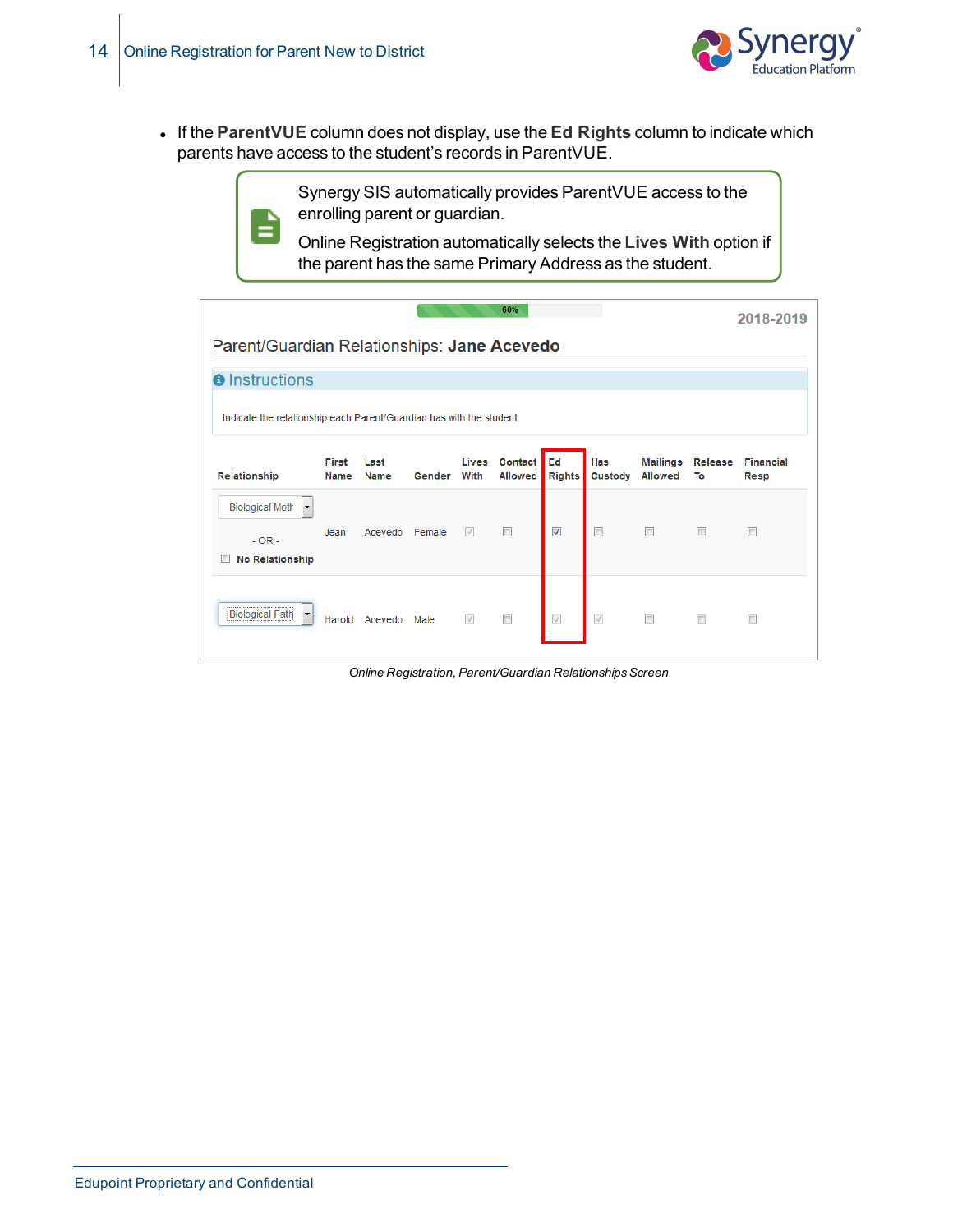

<sup>l</sup> If the **ParentVUE** column does not display, use the **Ed Rights** column to indicate which parents have access to the student's records in ParentVUE.



Synergy SIS automatically provides ParentVUE access to the enrolling parent or guardian.

Online Registration automatically selects the **Lives With** option if the parent has the same Primary Address as the student.

|                                                                                             |                                                                      |              |        |               | 60%                       |                         |                |                                   |                | 2018-2019                |  |
|---------------------------------------------------------------------------------------------|----------------------------------------------------------------------|--------------|--------|---------------|---------------------------|-------------------------|----------------|-----------------------------------|----------------|--------------------------|--|
|                                                                                             | Parent/Guardian Relationships: Jane Acevedo                          |              |        |               |                           |                         |                |                                   |                |                          |  |
| <b>O</b> Instructions                                                                       |                                                                      |              |        |               |                           |                         |                |                                   |                |                          |  |
|                                                                                             | Indicate the relationship each Parent/Guardian has with the student: |              |        |               |                           |                         |                |                                   |                |                          |  |
| Relationship                                                                                | First<br>Name                                                        | Last<br>Name | Gender | Lives<br>With | Contact<br><b>Allowed</b> | Ed<br><b>Rights</b>     | Has<br>Custody | <b>Mailings</b><br><b>Allowed</b> | Release<br>To  | <b>Financial</b><br>Resp |  |
| <b>Biological Moth</b><br>$\blacktriangledown$<br>$-$ OR $-$<br>n<br><b>No Relationship</b> | Jean                                                                 | Acevedo      | Female | $\sqrt{}$     | $\overline{\phantom{a}}$  | $\overline{\mathsf{v}}$ | $\Box$         | $\Box$                            | $\blacksquare$ | $\Box$                   |  |
| <b>Biological Fath</b><br>$\blacktriangledown$                                              | Harold                                                               | Acevedo      | Male   | $\sqrt{}$     | $\overline{\phantom{a}}$  | $\sqrt{}$               | $\sqrt{}$      | $\Box$                            | $\Box$         |                          |  |

*Online Registration, Parent/Guardian RelationshipsScreen*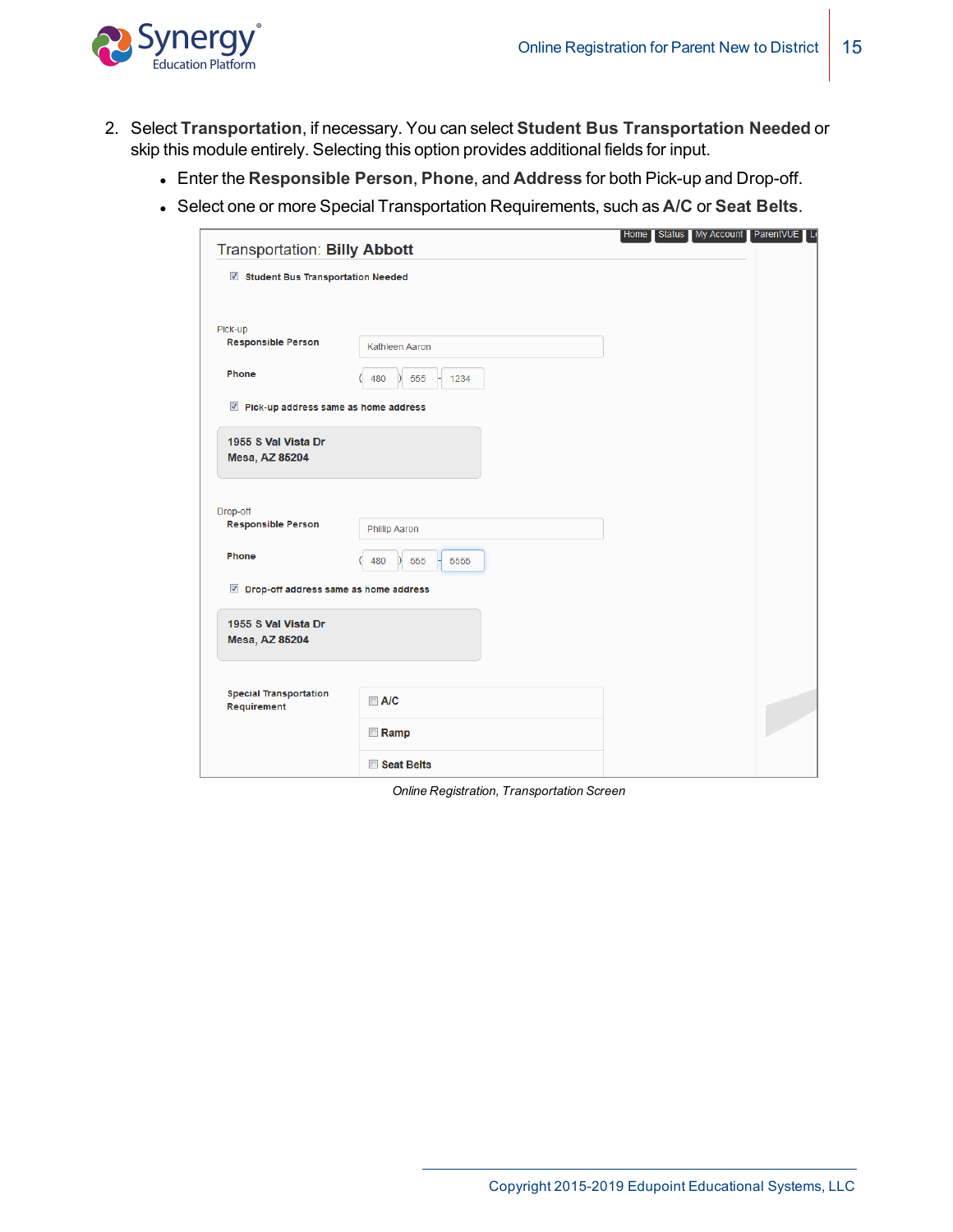

- 2. Select **Transportation**, if necessary. You can select **Student Bus Transportation Needed** or skip this module entirely. Selecting this option provides additional fields for input.
	- <sup>l</sup> Enter the **Responsible Person**, **Phone**, and **Address** for both Pick-up and Drop-off.
	- <sup>l</sup> Select one or more Special Transportation Requirements, such as **A/C** or **Seat Belts**.

| Transportation: Billy Abbott                 |                                     | Home Status My Account ParentVUE Lo |  |
|----------------------------------------------|-------------------------------------|-------------------------------------|--|
| Student Bus Transportation Needed            |                                     |                                     |  |
| Pick-up                                      |                                     |                                     |  |
| <b>Responsible Person</b>                    | Kathleen Aaron                      |                                     |  |
| Phone                                        | 480<br>555<br>1234<br>$\mathcal{L}$ |                                     |  |
| Pick-up address same as home address         |                                     |                                     |  |
| 1955 S Val Vista Dr<br>Mesa, AZ 85204        |                                     |                                     |  |
| Drop-off                                     |                                     |                                     |  |
| <b>Responsible Person</b>                    | <b>Phillip Aaron</b>                |                                     |  |
| Phone                                        | 480<br>555<br>5555                  |                                     |  |
| Drop-off address same as home address        |                                     |                                     |  |
| 1955 S Val Vista Dr<br><b>Mesa, AZ 85204</b> |                                     |                                     |  |
|                                              |                                     |                                     |  |
| <b>Special Transportation</b><br>Requirement | $\Box$ A/C                          |                                     |  |
|                                              | <b>Ramp</b>                         |                                     |  |
|                                              | Seat Belts                          |                                     |  |

*Online Registration, Transportation Screen*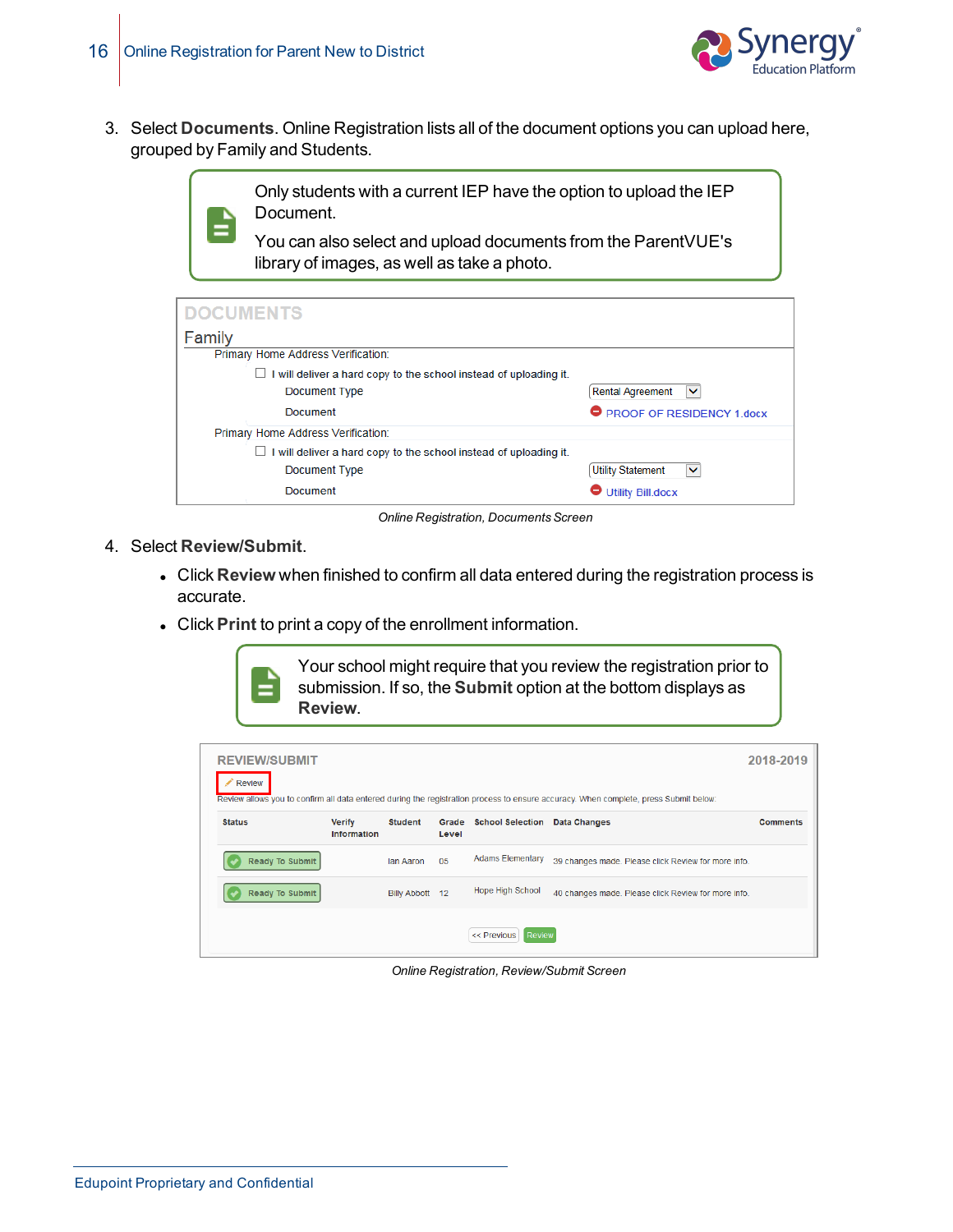

3. Select **Documents**. Online Registration lists all of the document options you can upload here, grouped by Family and Students.

> Only students with a current IEP have the option to upload the IEP Document.

You can also select and upload documents from the ParentVUE's library of images, as well as take a photo.

| <b>DOCUMENTS</b>                                                  |                                          |
|-------------------------------------------------------------------|------------------------------------------|
| Family                                                            |                                          |
| Primary Home Address Verification:                                |                                          |
| I will deliver a hard copy to the school instead of uploading it. |                                          |
| Document Type                                                     | <b>Rental Agreement</b><br>$\checkmark$  |
| Document                                                          | <b>PROOF OF RESIDENCY 1.docx</b>         |
| Primary Home Address Verification:                                |                                          |
| I will deliver a hard copy to the school instead of uploading it. |                                          |
| Document Type                                                     | <b>Utility Statement</b><br>$\checkmark$ |
| Document                                                          | <b>Utility Bill.docx</b>                 |

**Online Registration, Documents Screen** 

- 4. Select **Review/Submit**.
	- **.** Click Review when finished to confirm all data entered during the registration process is accurate.
	- **.** Click **Print** to print a copy of the enrollment information.

Your school might require that you review the registration prior to submission. If so, the **Submit** option at the bottom displays as **Review**.

| <b>REVIEW/SUBMIT</b><br>Review |                                     |                 |                |                              | Review allows you to confirm all data entered during the registration process to ensure accuracy. When complete, press Submit below: | 2018-2019       |
|--------------------------------|-------------------------------------|-----------------|----------------|------------------------------|--------------------------------------------------------------------------------------------------------------------------------------|-----------------|
| <b>Status</b>                  | <b>Verify</b><br><b>Information</b> | <b>Student</b>  | Grade<br>Level | <b>School Selection</b>      | Data Changes                                                                                                                         | <b>Comments</b> |
| Ready To Submit                |                                     | lan Aaron       | 05             | <b>Adams Elementary</b>      | 39 changes made. Please click Review for more info.                                                                                  |                 |
| <b>Ready To Submit</b>         |                                     | Billy Abbott 12 |                | <b>Hope High School</b>      | 40 changes made. Please click Review for more info.                                                                                  |                 |
|                                |                                     |                 |                | << Previous<br><b>Review</b> |                                                                                                                                      |                 |

*Online Registration, Review/Submit Screen*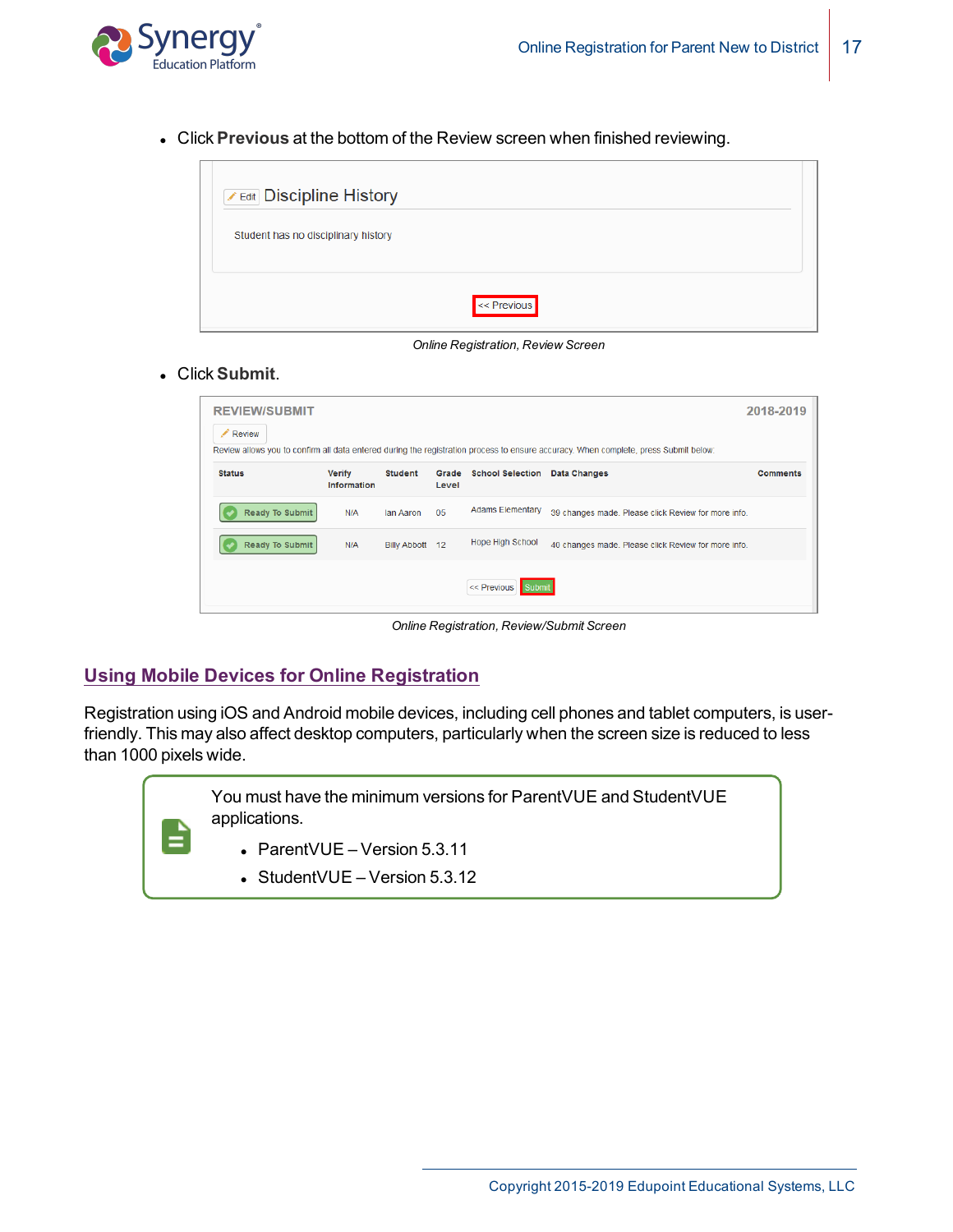

**.** Click Previous at the bottom of the Review screen when finished reviewing.



*Online Registration, Review Screen*

#### **.** Click Submit.

| <b>REVIEW/SUBMIT</b> |                              |                 |                |                         |                                                                                                                                      | 2018-2019       |
|----------------------|------------------------------|-----------------|----------------|-------------------------|--------------------------------------------------------------------------------------------------------------------------------------|-----------------|
| ℐ<br>Review          |                              |                 |                |                         |                                                                                                                                      |                 |
|                      |                              |                 |                |                         | Review allows you to confirm all data entered during the registration process to ensure accuracy. When complete, press Submit below: |                 |
| <b>Status</b>        | <b>Verify</b><br>Information | <b>Student</b>  | Grade<br>Level | <b>School Selection</b> | <b>Data Changes</b>                                                                                                                  | <b>Comments</b> |
| Ready To Submit      | N/A                          | lan Aaron       | 05             | <b>Adams Elementary</b> | 39 changes made. Please click Review for more info.                                                                                  |                 |
| Ready To Submit      | N/A                          | Billy Abbott 12 |                | <b>Hope High School</b> | 40 changes made. Please click Review for more info.                                                                                  |                 |
|                      |                              |                 |                | << Previous             |                                                                                                                                      |                 |

*Online Registration, Review/Submit Screen*

### **Using Mobile Devices for Online Registration**

Registration using iOS and Android mobile devices, including cell phones and tablet computers, is userfriendly. This may also affect desktop computers, particularly when the screen size is reduced to less than 1000 pixels wide.

> You must have the minimum versions for ParentVUE and StudentVUE applications.

- $\bullet$  ParentVUE Version 5.3.11
- $\bullet$  StudentVUE Version 5.3.12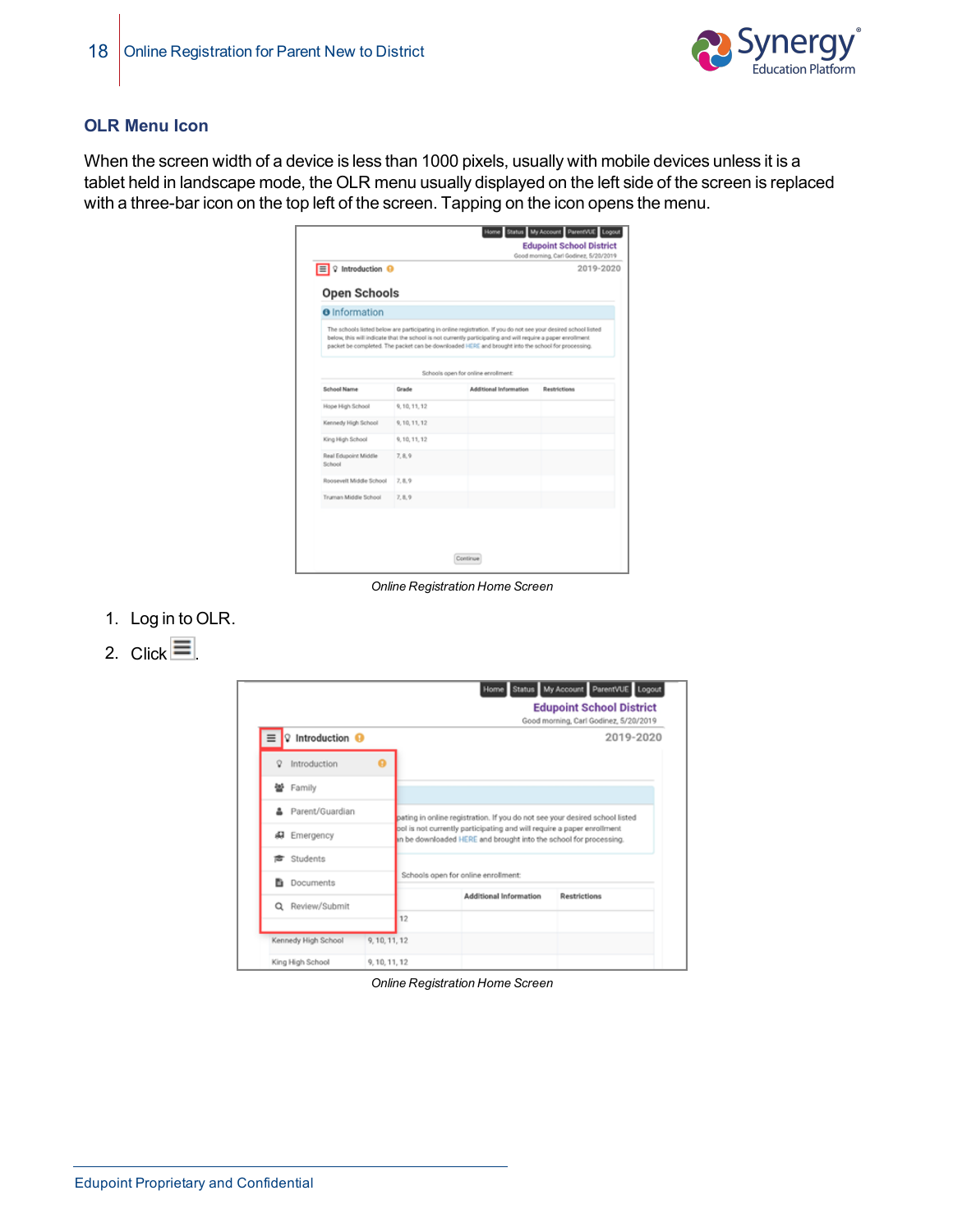

#### **OLR Menu Icon**

When the screen width of a device is less than 1000 pixels, usually with mobile devices unless it is a tablet held in landscape mode, the OLR menu usually displayed on the left side of the screen is replaced with a three-bar icon on the top left of the screen. Tapping on the icon opens the menu.

| Introduction <sup>O</sup><br>E<br>v         |               |                                                                                                                                                                                                                                                                                                                                        | 2019-2020           |
|---------------------------------------------|---------------|----------------------------------------------------------------------------------------------------------------------------------------------------------------------------------------------------------------------------------------------------------------------------------------------------------------------------------------|---------------------|
| <b>Open Schools</b><br><b>O</b> Information |               |                                                                                                                                                                                                                                                                                                                                        |                     |
|                                             |               | The schools listed below are participating in online registration. If you do not see your desired school listed<br>below, this will indicate that the school is not currently participating and will require a paper enrollment.<br>packet be completed. The packet can be downloaded HERE and brought into the school for processing. |                     |
|                                             |               | Schools open for online enrollment:                                                                                                                                                                                                                                                                                                    |                     |
| School Name                                 | Grade         | <b>Additional Information</b>                                                                                                                                                                                                                                                                                                          | <b>Restrictions</b> |
| Hope High School                            | 9, 10, 11, 12 |                                                                                                                                                                                                                                                                                                                                        |                     |
| Kennedy High School                         | 9, 10, 11, 12 |                                                                                                                                                                                                                                                                                                                                        |                     |
| King High School                            | 9, 10, 11, 12 |                                                                                                                                                                                                                                                                                                                                        |                     |
| Real Edupoint Middle                        | 7.8.9         |                                                                                                                                                                                                                                                                                                                                        |                     |
| School                                      |               |                                                                                                                                                                                                                                                                                                                                        |                     |
| Roosevelt Middle School                     | 7, 8, 9       |                                                                                                                                                                                                                                                                                                                                        |                     |

*Online Registration Home Screen*

- 1. Log in to OLR.
- 2. Click  $\equiv$

|                                      |               |    |                                                                                                                                             | Home Status My Account ParentVUE Logout<br><b>Edupoint School District</b><br>Good morning, Carl Godinez, 5/20/2019 |
|--------------------------------------|---------------|----|---------------------------------------------------------------------------------------------------------------------------------------------|---------------------------------------------------------------------------------------------------------------------|
| Introduction <sup>O</sup><br>$\circ$ |               |    |                                                                                                                                             | 2019-2020                                                                                                           |
| Introduction<br>$\circ$              |               |    |                                                                                                                                             |                                                                                                                     |
| 쓛<br>Family                          |               |    |                                                                                                                                             |                                                                                                                     |
| Parent/Guardian                      |               |    | pating in online registration. If you do not see your desired school listed                                                                 |                                                                                                                     |
| Æ<br>Emergency                       |               |    | bol is not currently participating and will require a paper enrollment<br>in be downloaded HERE and brought into the school for processing. |                                                                                                                     |
| Students                             |               |    |                                                                                                                                             |                                                                                                                     |
| в<br>Documents                       |               |    | Schools open for online enrollment:                                                                                                         |                                                                                                                     |
| Review/Submit<br>$\alpha$            |               |    | Additional Information                                                                                                                      | <b>Restrictions</b>                                                                                                 |
|                                      |               | 12 |                                                                                                                                             |                                                                                                                     |
| Kennedy High School                  | 9, 10, 11, 12 |    |                                                                                                                                             |                                                                                                                     |
| King High School                     | 9.10.11.12    |    |                                                                                                                                             |                                                                                                                     |

*Online Registration Home Screen*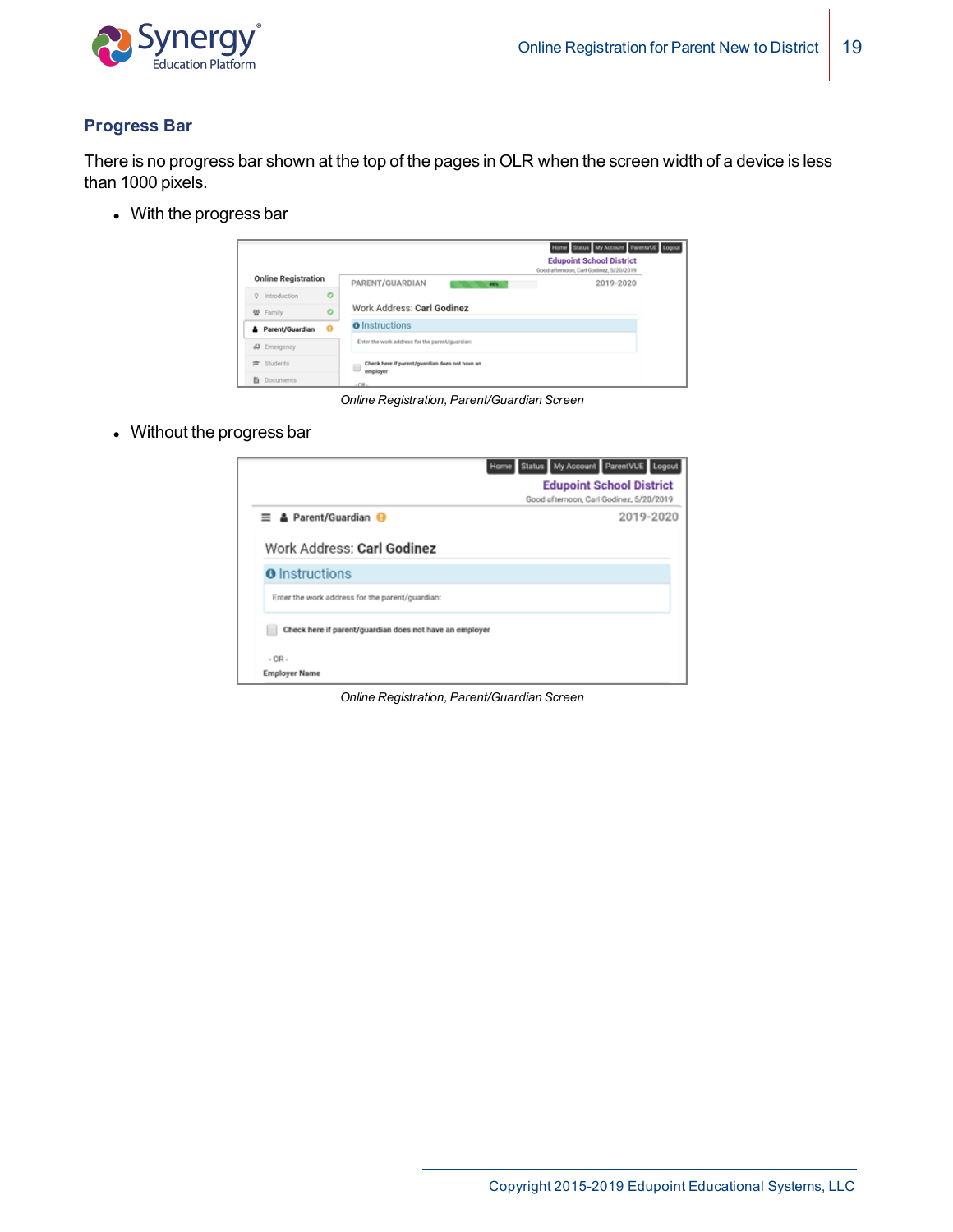

### **Progress Bar**

There is no progress bar shown at the top of the pages in OLR when the screen width of a device is less than 1000 pixels.

• With the progress bar

|                            |           |                                                     | Home Status My Account ParentVUE Logout<br><b>Edupoint School District</b><br>Good afternoon, Carl Godinez, 5/20/2019 |
|----------------------------|-----------|-----------------------------------------------------|-----------------------------------------------------------------------------------------------------------------------|
| <b>Online Registration</b> |           | PARENT/GUARDIAN<br>66%                              | 2019-2020                                                                                                             |
| Introduction<br>$\circ$    | $\circ$   |                                                     |                                                                                                                       |
| 智 Family                   | $\bullet$ | Work Address: Carl Godinez                          |                                                                                                                       |
| Parent/Guardian            | - 63      | <b>O</b> Instructions                               |                                                                                                                       |
| Emergency<br>æ             |           | Enter the work address for the parent/guardian:     |                                                                                                                       |
| Students<br>$\Rightarrow$  |           | Check here if parent/guardian does not have an<br>⊟ |                                                                                                                       |
| <b>Documents</b><br>в      |           | employer<br>$-0R$                                   |                                                                                                                       |

*Online Registration, Parent/Guardian Screen*

• Without the progress bar

|                                                         | Home Status My Account ParentVUE Logout<br><b>Edupoint School District</b> |
|---------------------------------------------------------|----------------------------------------------------------------------------|
|                                                         | Good afternoon, Carl Godinez, 5/20/2019                                    |
| <b>A</b> Parent/Guardian <b>⊕</b><br>$=$                | 2019-2020                                                                  |
| Work Address: Carl Godinez<br><b>O</b> Instructions     |                                                                            |
| Enter the work address for the parent/guardian:         |                                                                            |
| Check here if parent/guardian does not have an employer |                                                                            |
| $-OR-$                                                  |                                                                            |
| <b>Employer Name</b>                                    |                                                                            |

*Online Registration, Parent/Guardian Screen*